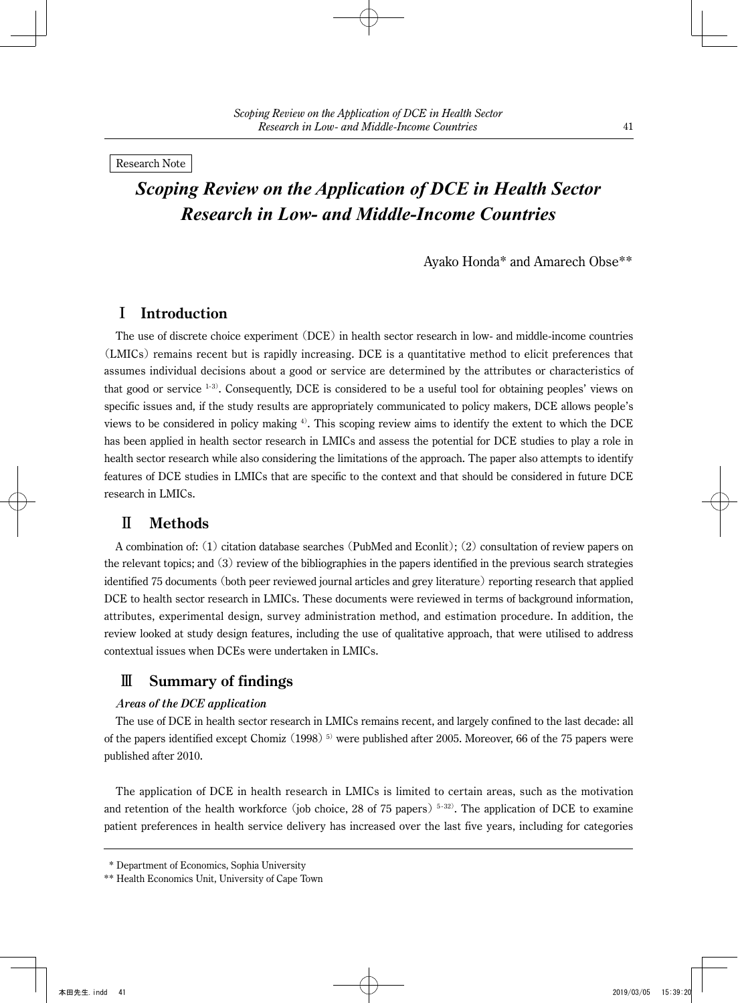Research Note

# *Scoping Review on the Application of DCE in Health Sector Research in Low- and Middle-Income Countries*

Ayako Honda\* and Amarech Obse\*\*

# I **Introduction**

The use of discrete choice experiment (DCE) in health sector research in low- and middle-income countries (LMICs) remains recent but is rapidly increasing. DCE is a quantitative method to elicit preferences that assumes individual decisions about a good or service are determined by the attributes or characteristics of that good or service  $1-3$ ). Consequently, DCE is considered to be a useful tool for obtaining peoples' views on specific issues and, if the study results are appropriately communicated to policy makers, DCE allows people's views to be considered in policy making  $\psi$ . This scoping review aims to identify the extent to which the DCE has been applied in health sector research in LMICs and assess the potential for DCE studies to play a role in health sector research while also considering the limitations of the approach. The paper also attempts to identify features of DCE studies in LMICs that are specific to the context and that should be considered in future DCE research in LMICs.

# Ⅱ **Methods**

A combination of: (1) citation database searches (PubMed and Econlit); (2) consultation of review papers on the relevant topics; and  $(3)$  review of the bibliographies in the papers identified in the previous search strategies identified 75 documents (both peer reviewed journal articles and grey literature) reporting research that applied DCE to health sector research in LMICs. These documents were reviewed in terms of background information, attributes, experimental design, survey administration method, and estimation procedure. In addition, the review looked at study design features, including the use of qualitative approach, that were utilised to address contextual issues when DCEs were undertaken in LMICs.

# Ⅲ **Summary of findings**

## **Areas of the DCE application**

The use of DCE in health sector research in LMICs remains recent, and largely confined to the last decade: all of the papers identified except Chomiz  $(1998)^5$  were published after 2005. Moreover, 66 of the 75 papers were published after 2010.

The application of DCE in health research in LMICs is limited to certain areas, such as the motivation and retention of the health workforce (job choice, 28 of 75 papers)<sup>5-32</sup>. The application of DCE to examine patient preferences in health service delivery has increased over the last five years, including for categories

 <sup>\*</sup> Department of Economics, Sophia University

<sup>\*\*</sup> Health Economics Unit, University of Cape Town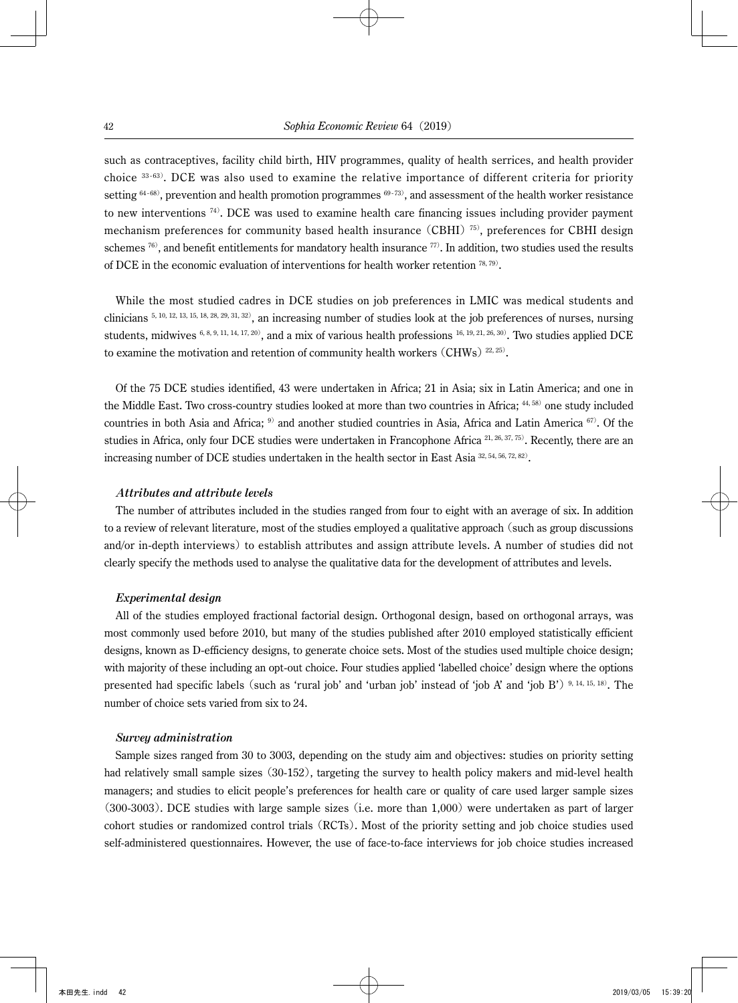such as contraceptives, facility child birth, HIV programmes, quality of health serrices, and health provider choice  $33-63$ ). DCE was also used to examine the relative importance of different criteria for priority setting  $64-68$ ), prevention and health promotion programmes  $69-73$ ), and assessment of the health worker resistance to new interventions  $74$ ). DCE was used to examine health care financing issues including provider payment mechanism preferences for community based health insurance (CBHI) $\frac{75}{75}$ , preferences for CBHI design schemes  $76$ ), and benefit entitlements for mandatory health insurance  $77$ ). In addition, two studies used the results of DCE in the economic evaluation of interventions for health worker retention  $^{78, 79}$ .

While the most studied cadres in DCE studies on job preferences in LMIC was medical students and clinicians  $5, 10, 12, 13, 15, 18, 28, 29, 31, 32)$ , an increasing number of studies look at the job preferences of nurses, nursing students, midwives  $6, 8, 9, 11, 14, 17, 20$ , and a mix of various health professions  $16, 19, 21, 26, 30$ . Two studies applied DCE to examine the motivation and retention of community health workers  $(CHWs)$ <sup>22, 25)</sup>.

Of the 75 DCE studies identified, 43 were undertaken in Africa; 21 in Asia; six in Latin America; and one in the Middle East. Two cross-country studies looked at more than two countries in Africa; 44, 58) one study included countries in both Asia and Africa;  $9$  and another studied countries in Asia, Africa and Latin America  $67$ ). Of the studies in Africa, only four DCE studies were undertaken in Francophone Africa <sup>21, 26, 37, 75)</sup>. Recently, there are an increasing number of DCE studies undertaken in the health sector in East Asia 32, 54, 56, 72, 82).

#### **Attributes and attribute levels**

The number of attributes included in the studies ranged from four to eight with an average of six. In addition to a review of relevant literature, most of the studies employed a qualitative approach (such as group discussions and/or in-depth interviews) to establish attributes and assign attribute levels. A number of studies did not clearly specify the methods used to analyse the qualitative data for the development of attributes and levels.

#### **Experimental design**

All of the studies employed fractional factorial design. Orthogonal design, based on orthogonal arrays, was most commonly used before 2010, but many of the studies published after 2010 employed statistically efficient designs, known as D-efficiency designs, to generate choice sets. Most of the studies used multiple choice design; with majority of these including an opt-out choice. Four studies applied 'labelled choice' design where the options presented had specific labels (such as 'rural job' and 'urban job' instead of 'job A' and 'job B')  $9,14, 15, 18$ . The number of choice sets varied from six to 24.

#### **Survey administration**

Sample sizes ranged from 30 to 3003, depending on the study aim and objectives: studies on priority setting had relatively small sample sizes (30-152), targeting the survey to health policy makers and mid-level health managers; and studies to elicit people's preferences for health care or quality of care used larger sample sizes  $(300-3003)$ . DCE studies with large sample sizes (i.e. more than 1,000) were undertaken as part of larger cohort studies or randomized control trials (RCTs). Most of the priority setting and job choice studies used self-administered questionnaires. However, the use of face-to-face interviews for job choice studies increased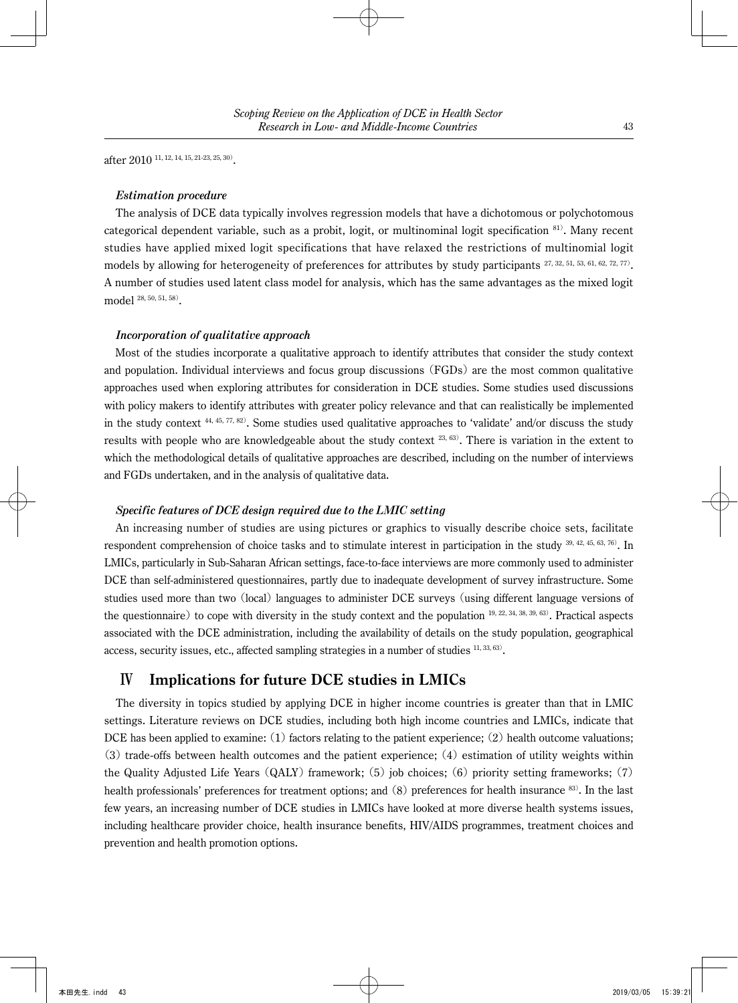after 2010 11, 12, 14, 15, 21-23, 25, 30).

### **Estimation procedure**

The analysis of DCE data typically involves regression models that have a dichotomous or polychotomous categorical dependent variable, such as a probit, logit, or multinominal logit specification  ${}^{81}$ . Many recent studies have applied mixed logit specifications that have relaxed the restrictions of multinomial logit models by allowing for heterogeneity of preferences for attributes by study participants 27, 32, 51, 53, 61, 62, 72, 77). A number of studies used latent class model for analysis, which has the same advantages as the mixed logit model 28, 50, 51, 58).

### **Incorporation of qualitative approach**

Most of the studies incorporate a qualitative approach to identify attributes that consider the study context and population. Individual interviews and focus group discussions (FGDs) are the most common qualitative approaches used when exploring attributes for consideration in DCE studies. Some studies used discussions with policy makers to identify attributes with greater policy relevance and that can realistically be implemented in the study context  $44, 45, 77, 82$ . Some studies used qualitative approaches to 'validate' and/or discuss the study results with people who are knowledgeable about the study context 23, 63). There is variation in the extent to which the methodological details of qualitative approaches are described, including on the number of interviews and FGDs undertaken, and in the analysis of qualitative data.

### **Specific features of DCE design required due to the LMIC setting**

An increasing number of studies are using pictures or graphics to visually describe choice sets, facilitate respondent comprehension of choice tasks and to stimulate interest in participation in the study  $^{39, 42, 45, 63, 76)}$ . In LMICs, particularly in Sub-Saharan African settings, face-to-face interviews are more commonly used to administer DCE than self-administered questionnaires, partly due to inadequate development of survey infrastructure. Some studies used more than two (local) languages to administer DCE surveys (using different language versions of the questionnaire) to cope with diversity in the study context and the population  $19, 22, 34, 38, 39, 63$ . Practical aspects associated with the DCE administration, including the availability of details on the study population, geographical access, security issues, etc., affected sampling strategies in a number of studies  $11, 33, 63$ .

# Ⅳ **Implications for future DCE studies in LMICs**

The diversity in topics studied by applying DCE in higher income countries is greater than that in LMIC settings. Literature reviews on DCE studies, including both high income countries and LMICs, indicate that DCE has been applied to examine:  $(1)$  factors relating to the patient experience;  $(2)$  health outcome valuations;  $(3)$  trade-offs between health outcomes and the patient experience;  $(4)$  estimation of utility weights within the Quality Adjusted Life Years  $(QALY)$  framework; (5) job choices; (6) priority setting frameworks; (7) health professionals' preferences for treatment options; and  $(8)$  preferences for health insurance  $83$ ). In the last few years, an increasing number of DCE studies in LMICs have looked at more diverse health systems issues, including healthcare provider choice, health insurance benefits, HIV/AIDS programmes, treatment choices and prevention and health promotion options.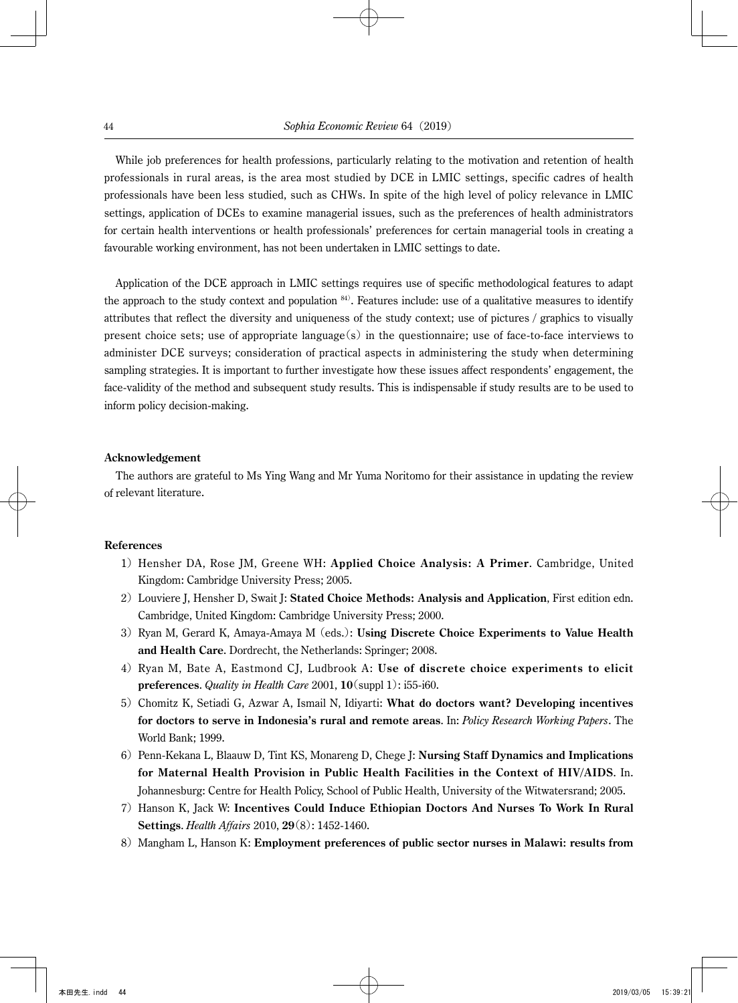While job preferences for health professions, particularly relating to the motivation and retention of health professionals in rural areas, is the area most studied by DCE in LMIC settings, specific cadres of health professionals have been less studied, such as CHWs. In spite of the high level of policy relevance in LMIC settings, application of DCEs to examine managerial issues, such as the preferences of health administrators for certain health interventions or health professionals' preferences for certain managerial tools in creating a favourable working environment, has not been undertaken in LMIC settings to date.

Application of the DCE approach in LMIC settings requires use of specific methodological features to adapt the approach to the study context and population  $84$ ). Features include: use of a qualitative measures to identify attributes that reflect the diversity and uniqueness of the study context; use of pictures / graphics to visually present choice sets; use of appropriate language(s) in the questionnaire; use of face-to-face interviews to administer DCE surveys; consideration of practical aspects in administering the study when determining sampling strategies. It is important to further investigate how these issues affect respondents' engagement, the face-validity of the method and subsequent study results. This is indispensable if study results are to be used to inform policy decision-making.

#### **Acknowledgement**

The authors are grateful to Ms Ying Wang and Mr Yuma Noritomo for their assistance in updating the review of relevant literature.

### **References**

- 1) Hensher DA, Rose JM, Greene WH: **Applied Choice Analysis: A Primer**. Cambridge, United Kingdom: Cambridge University Press; 2005.
- 2) Louviere J, Hensher D, Swait J: **Stated Choice Methods: Analysis and Application**, First edition edn. Cambridge, United Kingdom: Cambridge University Press; 2000.
- 3) Ryan M, Gerard K, Amaya-Amaya M (eds.): **Using Discrete Choice Experiments to Value Health and Health Care**. Dordrecht, the Netherlands: Springer; 2008.
- 4) Ryan M, Bate A, Eastmond CJ, Ludbrook A: **Use of discrete choice experiments to elicit preferences**. *Quality in Health Care* 2001, **10**(suppl 1): i55-i60.
- 5) Chomitz K, Setiadi G, Azwar A, Ismail N, Idiyarti: **What do doctors want? Developing incentives for doctors to serve in Indonesia's rural and remote areas**. In: *Policy Research Working Papers*. The World Bank; 1999.
- 6) Penn-Kekana L, Blaauw D, Tint KS, Monareng D, Chege J: **Nursing Staff Dynamics and Implications for Maternal Health Provision in Public Health Facilities in the Context of HIV/AIDS**. In. Johannesburg: Centre for Health Policy, School of Public Health, University of the Witwatersrand; 2005.
- 7) Hanson K, Jack W: **Incentives Could Induce Ethiopian Doctors And Nurses To Work In Rural Settings**. *Health Affairs* 2010, **29**(8): 1452-1460.
- 8) Mangham L, Hanson K: **Employment preferences of public sector nurses in Malawi: results from**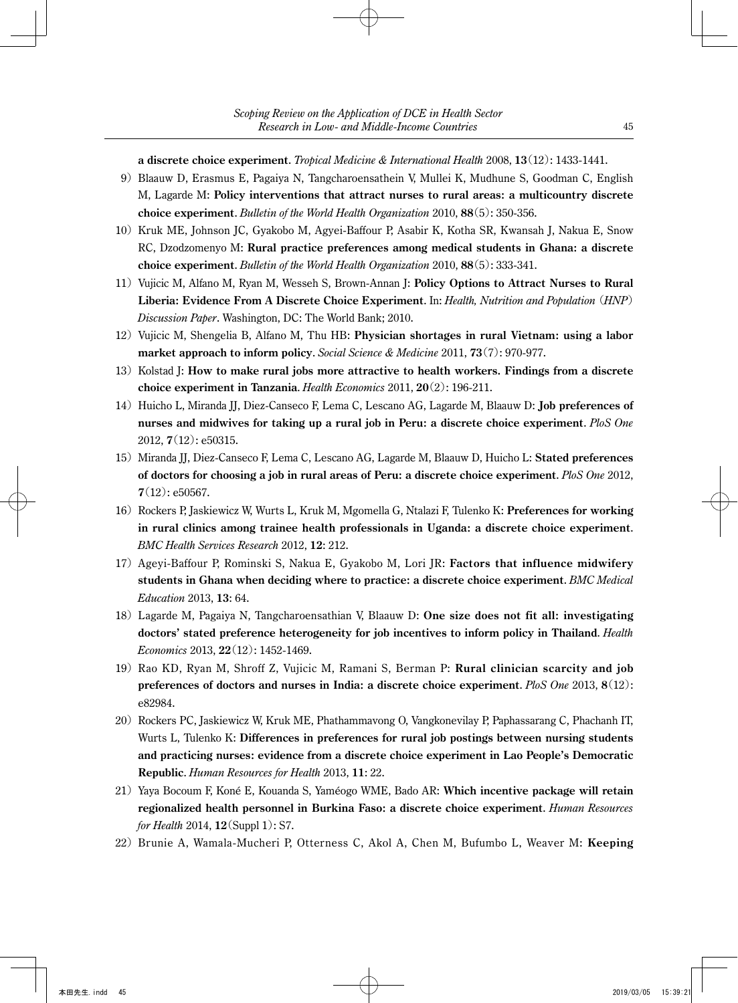**a discrete choice experiment**. *Tropical Medicine & International Health* 2008, **13**(12): 1433-1441.

- 9) Blaauw D, Erasmus E, Pagaiya N, Tangcharoensathein V, Mullei K, Mudhune S, Goodman C, English M, Lagarde M: **Policy interventions that attract nurses to rural areas: a multicountry discrete choice experiment**. *Bulletin of the World Health Organization* 2010, **88**(5): 350-356.
- 10) Kruk ME, Johnson JC, Gyakobo M, Agyei-Baffour P, Asabir K, Kotha SR, Kwansah J, Nakua E, Snow RC, Dzodzomenyo M: **Rural practice preferences among medical students in Ghana: a discrete choice experiment**. *Bulletin of the World Health Organization* 2010, **88**(5): 333-341.
- 11) Vujicic M, Alfano M, Ryan M, Wesseh S, Brown-Annan J: **Policy Options to Attract Nurses to Rural Liberia: Evidence From A Discrete Choice Experiment**. In: *Health, Nutrition and Population* (*HNP*) *Discussion Paper*. Washington, DC: The World Bank; 2010.
- 12) Vujicic M, Shengelia B, Alfano M, Thu HB: **Physician shortages in rural Vietnam: using a labor market approach to inform policy**. *Social Science & Medicine* 2011, **73**(7): 970-977.
- 13) Kolstad J: **How to make rural jobs more attractive to health workers. Findings from a discrete choice experiment in Tanzania**. *Health Economics* 2011, **20**(2): 196-211.
- 14) Huicho L, Miranda JJ, Diez-Canseco F, Lema C, Lescano AG, Lagarde M, Blaauw D: **Job preferences of nurses and midwives for taking up a rural job in Peru: a discrete choice experiment**. *PloS One* 2012, **7**(12): e50315.
- 15) Miranda JJ, Diez-Canseco F, Lema C, Lescano AG, Lagarde M, Blaauw D, Huicho L: **Stated preferences of doctors for choosing a job in rural areas of Peru: a discrete choice experiment**. *PloS One* 2012, **7**(12): e50567.
- 16) Rockers P, Jaskiewicz W, Wurts L, Kruk M, Mgomella G, Ntalazi F, Tulenko K: **Preferences for working in rural clinics among trainee health professionals in Uganda: a discrete choice experiment**. *BMC Health Services Research* 2012, **12**: 212.
- 17) Ageyi-Baffour P, Rominski S, Nakua E, Gyakobo M, Lori JR: **Factors that influence midwifery students in Ghana when deciding where to practice: a discrete choice experiment**. *BMC Medical Education* 2013, **13**: 64.
- 18) Lagarde M, Pagaiya N, Tangcharoensathian V, Blaauw D: **One size does not fit all: investigating doctors' stated preference heterogeneity for job incentives to inform policy in Thailand**. *Health Economics* 2013, **22**(12): 1452-1469.
- 19) Rao KD, Ryan M, Shroff Z, Vujicic M, Ramani S, Berman P: **Rural clinician scarcity and job preferences of doctors and nurses in India: a discrete choice experiment**. *PloS One* 2013, **8**(12): e82984.
- 20) Rockers PC, Jaskiewicz W, Kruk ME, Phathammavong O, Vangkonevilay P, Paphassarang C, Phachanh IT, Wurts L, Tulenko K: **Differences in preferences for rural job postings between nursing students and practicing nurses: evidence from a discrete choice experiment in Lao People's Democratic Republic**. *Human Resources for Health* 2013, **11**: 22.
- 21) Yaya Bocoum F, Koné E, Kouanda S, Yaméogo WME, Bado AR: **Which incentive package will retain regionalized health personnel in Burkina Faso: a discrete choice experiment**. *Human Resources for Health* 2014, **12**(Suppl 1): S7.
- 22) Brunie A, Wamala-Mucheri P, Otterness C, Akol A, Chen M, Bufumbo L, Weaver M: **Keeping**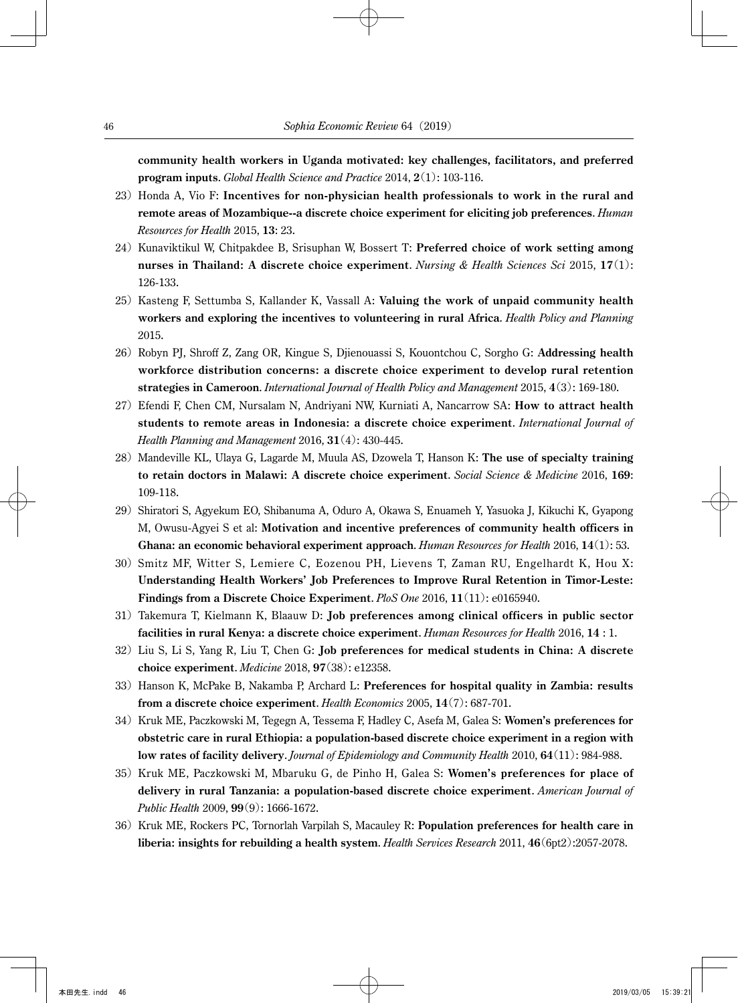**community health workers in Uganda motivated: key challenges, facilitators, and preferred program inputs**. *Global Health Science and Practice* 2014, **2**(1): 103-116.

- 23) Honda A, Vio F: **Incentives for non-physician health professionals to work in the rural and remote areas of Mozambique--a discrete choice experiment for eliciting job preferences**. *Human Resources for Health* 2015, **13**: 23.
- 24) Kunaviktikul W, Chitpakdee B, Srisuphan W, Bossert T: **Preferred choice of work setting among nurses in Thailand: A discrete choice experiment**. *Nursing & Health Sciences Sci* 2015, **17**(1): 126-133.
- 25) Kasteng F, Settumba S, Kallander K, Vassall A: **Valuing the work of unpaid community health workers and exploring the incentives to volunteering in rural Africa**. *Health Policy and Planning* 2015.
- 26) Robyn PJ, Shroff Z, Zang OR, Kingue S, Djienouassi S, Kouontchou C, Sorgho G: **Addressing health workforce distribution concerns: a discrete choice experiment to develop rural retention strategies in Cameroon**. *International Journal of Health Policy and Management* 2015, **4**(3): 169-180.
- 27) Efendi F, Chen CM, Nursalam N, Andriyani NW, Kurniati A, Nancarrow SA: **How to attract health students to remote areas in Indonesia: a discrete choice experiment**. *International Journal of Health Planning and Management* 2016, **31**(4): 430-445.
- 28) Mandeville KL, Ulaya G, Lagarde M, Muula AS, Dzowela T, Hanson K: **The use of specialty training to retain doctors in Malawi: A discrete choice experiment**. *Social Science & Medicine* 2016, **169**: 109-118.
- 29) Shiratori S, Agyekum EO, Shibanuma A, Oduro A, Okawa S, Enuameh Y, Yasuoka J, Kikuchi K, Gyapong M, Owusu-Agyei S et al: **Motivation and incentive preferences of community health officers in Ghana: an economic behavioral experiment approach**. *Human Resources for Health* 2016, **14**(1): 53.
- 30) Smitz MF, Witter S, Lemiere C, Eozenou PH, Lievens T, Zaman RU, Engelhardt K, Hou X: **Understanding Health Workers' Job Preferences to Improve Rural Retention in Timor-Leste: Findings from a Discrete Choice Experiment**. *PloS One* 2016, **11**(11): e0165940.
- 31) Takemura T, Kielmann K, Blaauw D: **Job preferences among clinical officers in public sector facilities in rural Kenya: a discrete choice experiment**. *Human Resources for Health* 2016, **14** : 1.
- 32) Liu S, Li S, Yang R, Liu T, Chen G: **Job preferences for medical students in China: A discrete choice experiment**. *Medicine* 2018, **97**(38): e12358.
- 33) Hanson K, McPake B, Nakamba P, Archard L: **Preferences for hospital quality in Zambia: results from a discrete choice experiment**. *Health Economics* 2005, **14**(7): 687-701.
- 34) Kruk ME, Paczkowski M, Tegegn A, Tessema F, Hadley C, Asefa M, Galea S: **Women's preferences for obstetric care in rural Ethiopia: a population-based discrete choice experiment in a region with low rates of facility delivery**. *Journal of Epidemiology and Community Health* 2010, **64**(11): 984-988.
- 35) Kruk ME, Paczkowski M, Mbaruku G, de Pinho H, Galea S: **Women's preferences for place of delivery in rural Tanzania: a population-based discrete choice experiment**. *American Journal of Public Health* 2009, **99**(9): 1666-1672.
- 36) Kruk ME, Rockers PC, Tornorlah Varpilah S, Macauley R: **Population preferences for health care in liberia: insights for rebuilding a health system**. *Health Services Research* 2011, **46**(6pt2):2057-2078.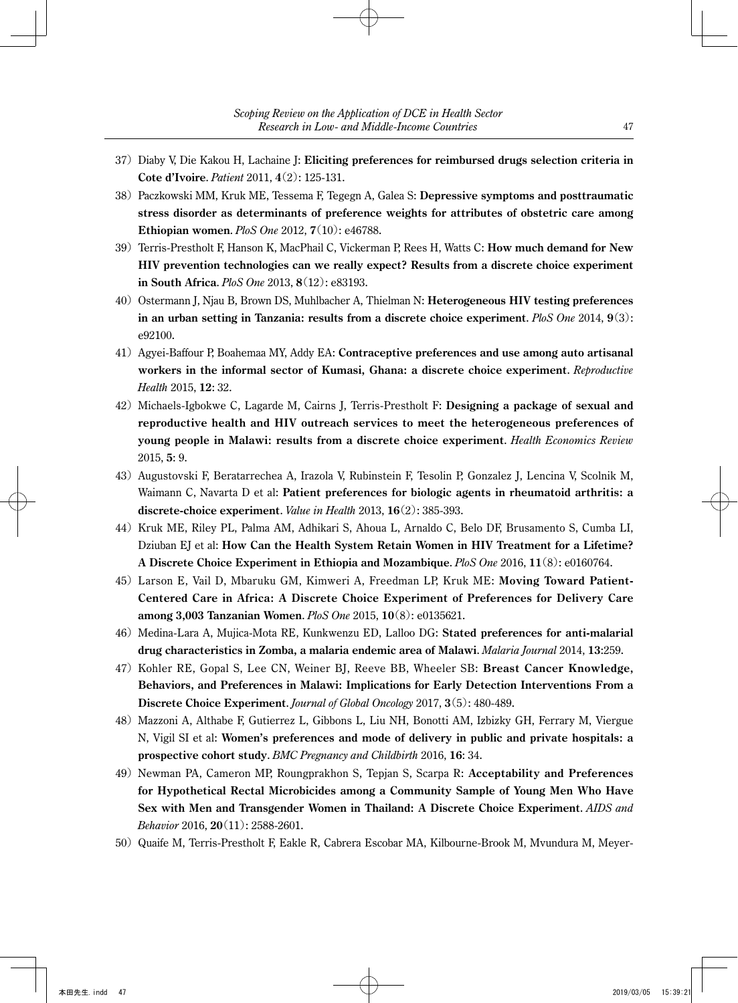- 37) Diaby V, Die Kakou H, Lachaine J: **Eliciting preferences for reimbursed drugs selection criteria in Cote d'Ivoire**. *Patient* 2011, **4**(2): 125-131.
- 38) Paczkowski MM, Kruk ME, Tessema F, Tegegn A, Galea S: **Depressive symptoms and posttraumatic stress disorder as determinants of preference weights for attributes of obstetric care among Ethiopian women**. *PloS One* 2012, **7**(10): e46788.
- 39) Terris-Prestholt F, Hanson K, MacPhail C, Vickerman P, Rees H, Watts C: **How much demand for New HIV prevention technologies can we really expect? Results from a discrete choice experiment in South Africa**. *PloS One* 2013, **8**(12): e83193.
- 40) Ostermann J, Njau B, Brown DS, Muhlbacher A, Thielman N: **Heterogeneous HIV testing preferences in an urban setting in Tanzania: results from a discrete choice experiment**. *PloS One* 2014, **9**(3): e92100.
- 41) Agyei-Baffour P, Boahemaa MY, Addy EA: **Contraceptive preferences and use among auto artisanal workers in the informal sector of Kumasi, Ghana: a discrete choice experiment**. *Reproductive Health* 2015, **12**: 32.
- 42) Michaels-Igbokwe C, Lagarde M, Cairns J, Terris-Prestholt F: **Designing a package of sexual and reproductive health and HIV outreach services to meet the heterogeneous preferences of young people in Malawi: results from a discrete choice experiment**. *Health Economics Review* 2015, **5**: 9.
- 43) Augustovski F, Beratarrechea A, Irazola V, Rubinstein F, Tesolin P, Gonzalez J, Lencina V, Scolnik M, Waimann C, Navarta D et al: **Patient preferences for biologic agents in rheumatoid arthritis: a discrete-choice experiment**. *Value in Health* 2013, **16**(2): 385-393.
- 44) Kruk ME, Riley PL, Palma AM, Adhikari S, Ahoua L, Arnaldo C, Belo DF, Brusamento S, Cumba LI, Dziuban EJ et al: **How Can the Health System Retain Women in HIV Treatment for a Lifetime? A Discrete Choice Experiment in Ethiopia and Mozambique**. *PloS One* 2016, **11**(8): e0160764.
- 45) Larson E, Vail D, Mbaruku GM, Kimweri A, Freedman LP, Kruk ME: **Moving Toward Patient-Centered Care in Africa: A Discrete Choice Experiment of Preferences for Delivery Care among 3,003 Tanzanian Women**. *PloS One* 2015, **10**(8): e0135621.
- 46) Medina-Lara A, Mujica-Mota RE, Kunkwenzu ED, Lalloo DG: **Stated preferences for anti-malarial drug characteristics in Zomba, a malaria endemic area of Malawi**. *Malaria Journal* 2014, **13**:259.
- 47) Kohler RE, Gopal S, Lee CN, Weiner BJ, Reeve BB, Wheeler SB: **Breast Cancer Knowledge, Behaviors, and Preferences in Malawi: Implications for Early Detection Interventions From a Discrete Choice Experiment**. *Journal of Global Oncology* 2017, **3**(5): 480-489.
- 48) Mazzoni A, Althabe F, Gutierrez L, Gibbons L, Liu NH, Bonotti AM, Izbizky GH, Ferrary M, Viergue N, Vigil SI et al: **Women's preferences and mode of delivery in public and private hospitals: a prospective cohort study**. *BMC Pregnancy and Childbirth* 2016, **16**: 34.
- 49) Newman PA, Cameron MP, Roungprakhon S, Tepjan S, Scarpa R: **Acceptability and Preferences for Hypothetical Rectal Microbicides among a Community Sample of Young Men Who Have Sex with Men and Transgender Women in Thailand: A Discrete Choice Experiment**. *AIDS and Behavior* 2016, **20**(11): 2588-2601.
- 50) Quaife M, Terris-Prestholt F, Eakle R, Cabrera Escobar MA, Kilbourne-Brook M, Mvundura M, Meyer-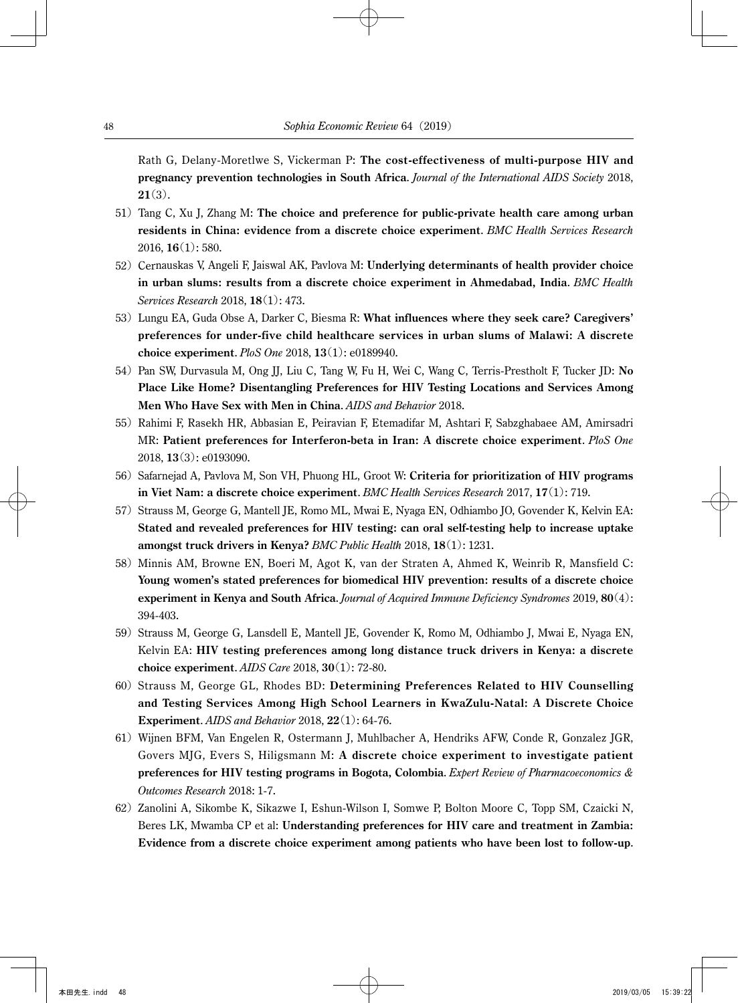Rath G, Delany-Moretlwe S, Vickerman P: **The cost-effectiveness of multi-purpose HIV and pregnancy prevention technologies in South Africa**. *Journal of the International AIDS Society* 2018, **21**(3).

- 51) Tang C, Xu J, Zhang M: **The choice and preference for public-private health care among urban residents in China: evidence from a discrete choice experiment**. *BMC Health Services Research* 2016, **16**(1): 580.
- 52) Cernauskas V, Angeli F, Jaiswal AK, Pavlova M: **Underlying determinants of health provider choice in urban slums: results from a discrete choice experiment in Ahmedabad, India**. *BMC Health Services Research* 2018, **18**(1): 473.
- 53) Lungu EA, Guda Obse A, Darker C, Biesma R: **What influences where they seek care? Caregivers' preferences for under-five child healthcare services in urban slums of Malawi: A discrete choice experiment**. *PloS One* 2018, **13**(1): e0189940.
- 54) Pan SW, Durvasula M, Ong JJ, Liu C, Tang W, Fu H, Wei C, Wang C, Terris-Prestholt F, Tucker JD: **No Place Like Home? Disentangling Preferences for HIV Testing Locations and Services Among Men Who Have Sex with Men in China**. *AIDS and Behavior* 2018.
- 55) Rahimi F, Rasekh HR, Abbasian E, Peiravian F, Etemadifar M, Ashtari F, Sabzghabaee AM, Amirsadri MR: **Patient preferences for Interferon-beta in Iran: A discrete choice experiment**. *PloS One* 2018, **13**(3): e0193090.
- 56) Safarnejad A, Pavlova M, Son VH, Phuong HL, Groot W: **Criteria for prioritization of HIV programs in Viet Nam: a discrete choice experiment**. *BMC Health Services Research* 2017, **17**(1): 719.
- 57) Strauss M, George G, Mantell JE, Romo ML, Mwai E, Nyaga EN, Odhiambo JO, Govender K, Kelvin EA: **Stated and revealed preferences for HIV testing: can oral self-testing help to increase uptake amongst truck drivers in Kenya?** *BMC Public Health* 2018, **18**(1): 1231.
- 58) Minnis AM, Browne EN, Boeri M, Agot K, van der Straten A, Ahmed K, Weinrib R, Mansfield C: **Young women's stated preferences for biomedical HIV prevention: results of a discrete choice experiment in Kenya and South Africa**. *Journal of Acquired Immune Deficiency Syndromes* 2019, **80**(4): 394-403.
- 59) Strauss M, George G, Lansdell E, Mantell JE, Govender K, Romo M, Odhiambo J, Mwai E, Nyaga EN, Kelvin EA: **HIV testing preferences among long distance truck drivers in Kenya: a discrete choice experiment**. *AIDS Care* 2018, **30**(1): 72-80.
- 60) Strauss M, George GL, Rhodes BD: **Determining Preferences Related to HIV Counselling and Testing Services Among High School Learners in KwaZulu-Natal: A Discrete Choice Experiment**. *AIDS and Behavior* 2018, **22**(1): 64-76.
- 61) Wijnen BFM, Van Engelen R, Ostermann J, Muhlbacher A, Hendriks AFW, Conde R, Gonzalez JGR, Govers MJG, Evers S, Hiligsmann M: **A discrete choice experiment to investigate patient preferences for HIV testing programs in Bogota, Colombia**. *Expert Review of Pharmacoeconomics & Outcomes Research* 2018: 1-7.
- 62) Zanolini A, Sikombe K, Sikazwe I, Eshun-Wilson I, Somwe P, Bolton Moore C, Topp SM, Czaicki N, Beres LK, Mwamba CP et al: **Understanding preferences for HIV care and treatment in Zambia: Evidence from a discrete choice experiment among patients who have been lost to follow-up**.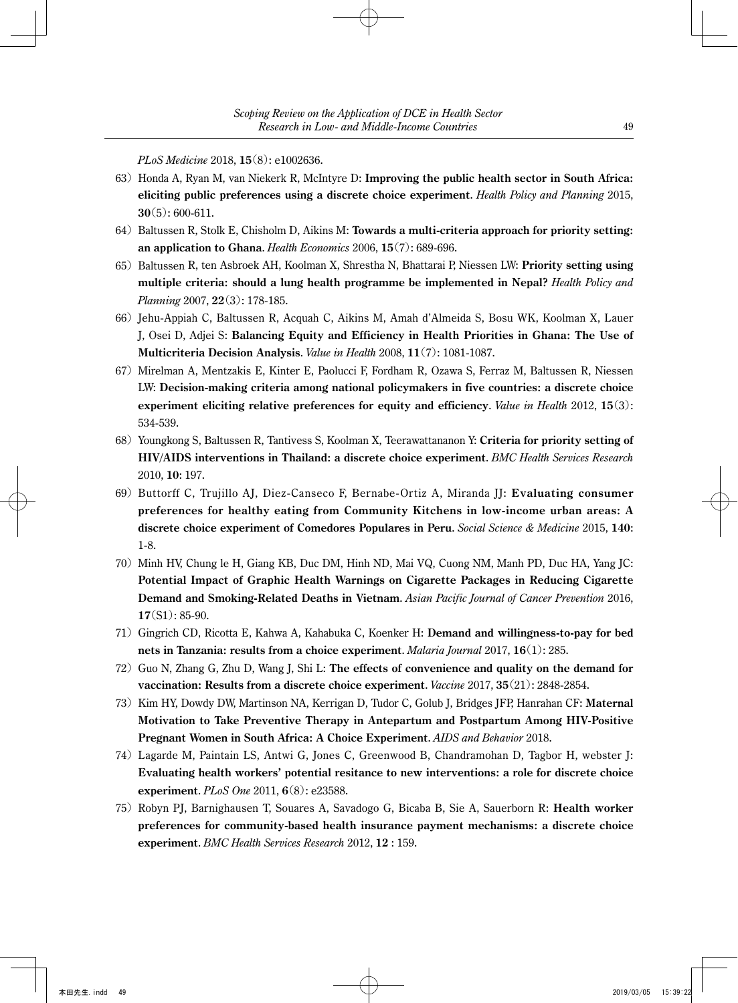*PLoS Medicine* 2018, **15**(8): e1002636.

- 63) Honda A, Ryan M, van Niekerk R, McIntyre D: **Improving the public health sector in South Africa: eliciting public preferences using a discrete choice experiment**. *Health Policy and Planning* 2015, **30**(5): 600-611.
- 64) Baltussen R, Stolk E, Chisholm D, Aikins M: **Towards a multi-criteria approach for priority setting: an application to Ghana**. *Health Economics* 2006, **15**(7): 689-696.
- 65) Baltussen R, ten Asbroek AH, Koolman X, Shrestha N, Bhattarai P, Niessen LW: **Priority setting using multiple criteria: should a lung health programme be implemented in Nepal?** *Health Policy and Planning* 2007, **22**(3): 178-185.
- 66) Jehu-Appiah C, Baltussen R, Acquah C, Aikins M, Amah d'Almeida S, Bosu WK, Koolman X, Lauer J, Osei D, Adjei S: **Balancing Equity and Efficiency in Health Priorities in Ghana: The Use of Multicriteria Decision Analysis**. *Value in Health* 2008, **11**(7): 1081-1087.
- 67) Mirelman A, Mentzakis E, Kinter E, Paolucci F, Fordham R, Ozawa S, Ferraz M, Baltussen R, Niessen LW: **Decision-making criteria among national policymakers in five countries: a discrete choice experiment eliciting relative preferences for equity and efficiency**. *Value in Health* 2012, **15**(3): 534-539.
- 68) Youngkong S, Baltussen R, Tantivess S, Koolman X, Teerawattananon Y: **Criteria for priority setting of HIV/AIDS interventions in Thailand: a discrete choice experiment**. *BMC Health Services Research* 2010, **10**: 197.
- 69) Buttorff C, Trujillo AJ, Diez-Canseco F, Bernabe-Ortiz A, Miranda JJ: **Evaluating consumer preferences for healthy eating from Community Kitchens in low-income urban areas: A discrete choice experiment of Comedores Populares in Peru**. *Social Science & Medicine* 2015, **140**: 1-8.
- 70) Minh HV, Chung le H, Giang KB, Duc DM, Hinh ND, Mai VQ, Cuong NM, Manh PD, Duc HA, Yang JC: **Potential Impact of Graphic Health Warnings on Cigarette Packages in Reducing Cigarette Demand and Smoking-Related Deaths in Vietnam**. *Asian Pacific Journal of Cancer Prevention* 2016, **17**(S1): 85-90.
- 71) Gingrich CD, Ricotta E, Kahwa A, Kahabuka C, Koenker H: **Demand and willingness-to-pay for bed nets in Tanzania: results from a choice experiment**. *Malaria Journal* 2017, **16**(1): 285.
- 72) Guo N, Zhang G, Zhu D, Wang J, Shi L: **The effects of convenience and quality on the demand for vaccination: Results from a discrete choice experiment**. *Vaccine* 2017, **35**(21): 2848-2854.
- 73) Kim HY, Dowdy DW, Martinson NA, Kerrigan D, Tudor C, Golub J, Bridges JFP, Hanrahan CF: **Maternal Motivation to Take Preventive Therapy in Antepartum and Postpartum Among HIV-Positive Pregnant Women in South Africa: A Choice Experiment**. *AIDS and Behavior* 2018.
- 74) Lagarde M, Paintain LS, Antwi G, Jones C, Greenwood B, Chandramohan D, Tagbor H, webster J: **Evaluating health workers' potential resitance to new interventions: a role for discrete choice experiment**. *PLoS One* 2011, **6**(8): e23588.
- 75) Robyn PJ, Barnighausen T, Souares A, Savadogo G, Bicaba B, Sie A, Sauerborn R: **Health worker preferences for community-based health insurance payment mechanisms: a discrete choice experiment**. *BMC Health Services Research* 2012, **12** : 159.